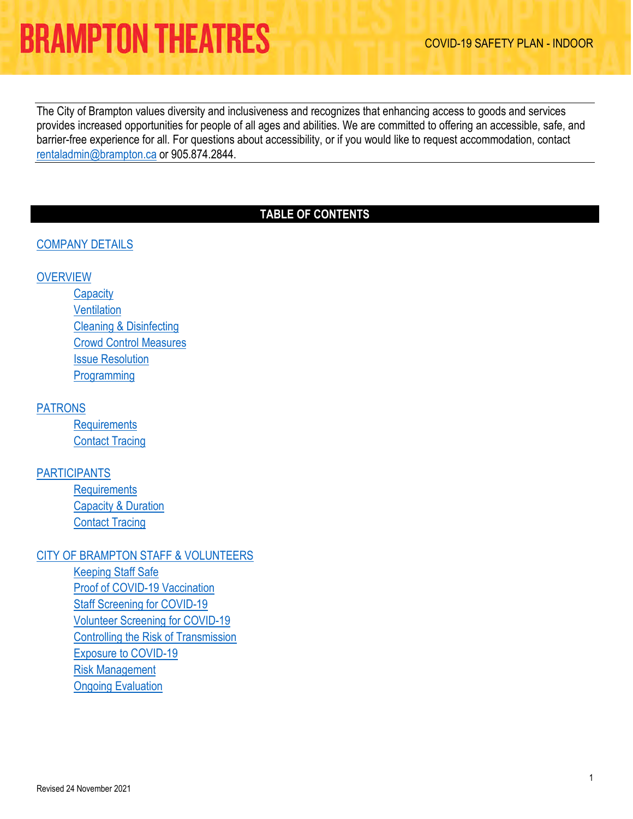The City of Brampton values diversity and inclusiveness and recognizes that enhancing access to goods and services provides increased opportunities for people of all ages and abilities. We are committed to offering an accessible, safe, and barrier-free experience for all. For questions about accessibility, or if you would like to request accommodation, contact [rentaladmin@brampton.ca](mailto:rentaladmin@brampton.ca) or 905.874.2844.

## **TABLE OF CONTENTS**

### [COMPANY DETAILS](#page-0-0)

### **[OVERVIEW](#page-1-0)**

**[Capacity](#page-2-0) [Ventilation](#page-2-1)** [Cleaning & Disinfecting](#page-2-2)  [Crowd Control Measures](#page-2-3)  [Issue Resolution](#page-3-0) [Programming](#page-4-0)

[PATRONS](#page-5-0) 

**[Requirements](#page-5-1)** [Contact Tracing](#page-9-0) 

#### [PARTICIPANTS](#page-10-0)

**[Requirements](#page-10-1)** [Capacity & Duration](#page-16-0) [Contact Tracing](#page-17-0) 

#### [CITY OF BRAMPTON STAFF & VOLUNTEERS](#page-19-0)

<span id="page-0-0"></span>[Keeping Staff Safe](#page-19-1) [Proof of COVID-19 Vaccination](#page-19-2) [Staff Screening for COVID-19](#page-19-3) [Volunteer Screening for COVID-19](#page-19-4) [Controlling the Risk of Transmission](#page-19-5) [Exposure to COVID-19](#page-21-0) [Risk Management](#page-22-0) [Ongoing Evaluation](#page-22-1)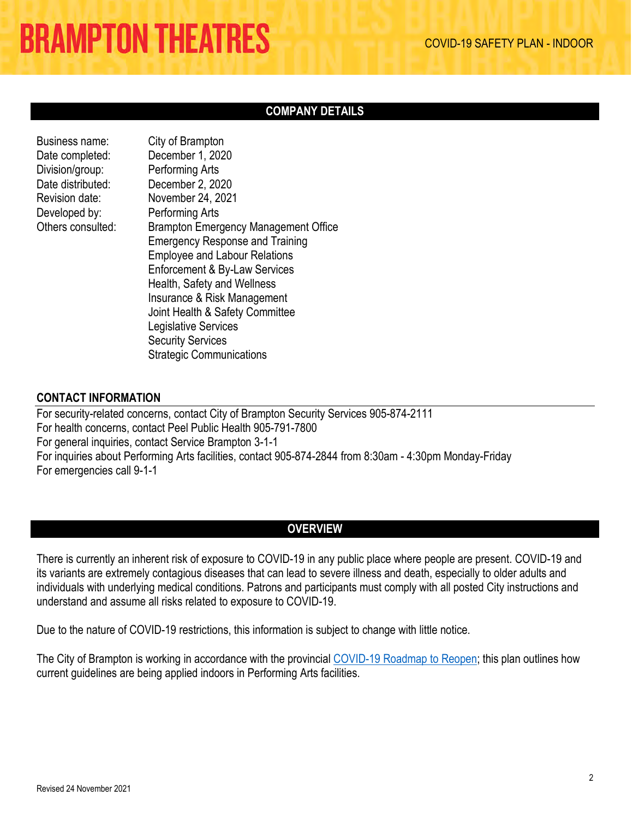City of Brampton

### **COMPANY DETAILS**

| <b>Business name:</b> |
|-----------------------|
| Date completed:       |
| Division/group:       |
| Date distributed:     |
| Revision date:        |
| Developed by:         |
| Others consulted:     |
|                       |

December 1, 2020 Performing Arts December 2, 2020 November 24, 2021 Performing Arts Brampton Emergency Management Office Emergency Response and Training Employee and Labour Relations Enforcement & By-Law Services Health, Safety and Wellness Insurance & Risk Management Joint Health & Safety Committee Legislative Services Security Services Strategic Communications

### **CONTACT INFORMATION**

For security-related concerns, contact City of Brampton Security Services 905-874-2111 For health concerns, contact Peel Public Health 905-791-7800 For general inquiries, contact Service Brampton 3-1-1 For inquiries about Performing Arts facilities, contact 905-874-2844 from 8:30am - 4:30pm Monday-Friday For emergencies call 9-1-1

## **OVERVIEW**

<span id="page-1-0"></span>There is currently an inherent risk of exposure to COVID-19 in any public place where people are present. COVID-19 and its variants are extremely contagious diseases that can lead to severe illness and death, especially to older adults and individuals with underlying medical conditions. Patrons and participants must comply with all posted City instructions and understand and assume all risks related to exposure to COVID-19.

Due to the nature of COVID-19 restrictions, this information is subject to change with little notice.

The City of Brampton is working in accordance with the provincial [COVID-19 Roadmap to Reopen;](https://www.ontario.ca/page/covid-19-response-framework-keeping-ontario-safe-and-open) this plan outlines how current guidelines are being applied indoors in Performing Arts facilities.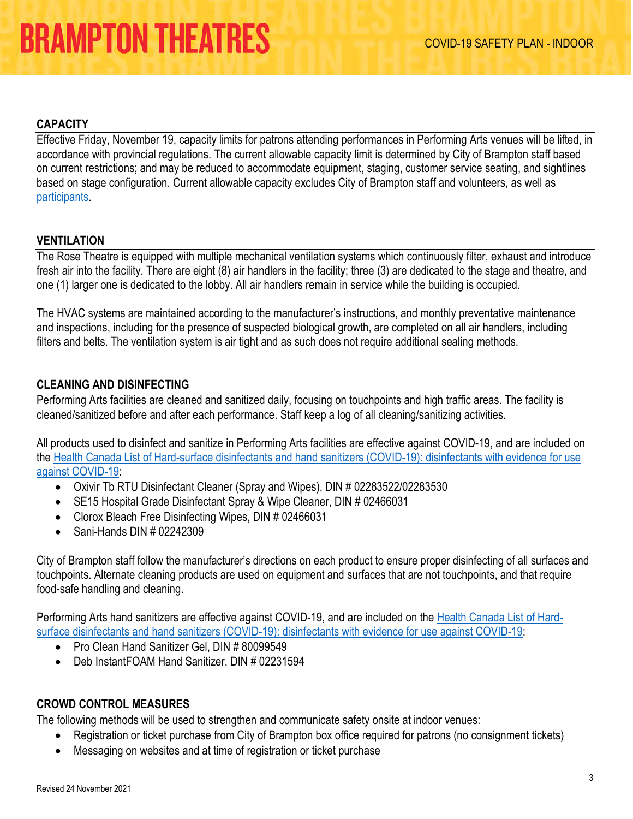#### <span id="page-2-0"></span>**CAPACITY**

Effective Friday, November 19, capacity limits for patrons attending performances in Performing Arts venues will be lifted, in accordance with provincial regulations. The current allowable capacity limit is determined by City of Brampton staff based on current restrictions; and may be reduced to accommodate equipment, staging, customer service seating, and sightlines based on stage configuration. Current allowable capacity excludes City of Brampton staff and volunteers, as well as [participants.](#page-10-2)

#### <span id="page-2-1"></span>**VENTILATION**

The Rose Theatre is equipped with multiple mechanical ventilation systems which continuously filter, exhaust and introduce fresh air into the facility. There are eight (8) air handlers in the facility; three (3) are dedicated to the stage and theatre, and one (1) larger one is dedicated to the lobby. All air handlers remain in service while the building is occupied.

The HVAC systems are maintained according to the manufacturer's instructions, and monthly preventative maintenance and inspections, including for the presence of suspected biological growth, are completed on all air handlers, including filters and belts. The ventilation system is air tight and as such does not require additional sealing methods.

### <span id="page-2-2"></span>**CLEANING AND DISINFECTING**

Performing Arts facilities are cleaned and sanitized daily, focusing on touchpoints and high traffic areas. The facility is cleaned/sanitized before and after each performance. Staff keep a log of all cleaning/sanitizing activities.

All products used to disinfect and sanitize in Performing Arts facilities are effective against COVID-19, and are included on the [Health Canada List of Hard-surface disinfectants and hand sanitizers \(COVID-19\): disinfectants with evidence for use](https://www.canada.ca/en/health-canada/services/drugs-health-products/disinfectants/covid-19/list.html)  [against COVID-19:](https://www.canada.ca/en/health-canada/services/drugs-health-products/disinfectants/covid-19/list.html) 

- Oxivir Tb RTU Disinfectant Cleaner (Spray and Wipes), DIN # 02283522/02283530
- SE15 Hospital Grade Disinfectant Spray & Wipe Cleaner, DIN # 02466031
- Clorox Bleach Free Disinfecting Wipes, DIN # 02466031
- Sani-Hands DIN # 02242309

City of Brampton staff follow the manufacturer's directions on each product to ensure proper disinfecting of all surfaces and touchpoints. Alternate cleaning products are used on equipment and surfaces that are not touchpoints, and that require food-safe handling and cleaning.

Performing Arts hand sanitizers are effective against COVID-19, and are included on th[e Health Canada List of Hard](https://www.canada.ca/en/health-canada/services/drugs-health-products/disinfectants/covid-19/list.html)[surface disinfectants and hand sanitizers \(COVID-19\): disinfectants with evidence for use against COVID-19:](https://www.canada.ca/en/health-canada/services/drugs-health-products/disinfectants/covid-19/list.html)

- Pro Clean Hand Sanitizer Gel, DIN # 80099549
- Deb InstantFOAM Hand Sanitizer, DIN # 02231594

#### <span id="page-2-3"></span>**CROWD CONTROL MEASURES**

The following methods will be used to strengthen and communicate safety onsite at indoor venues:

- Registration or ticket purchase from City of Brampton box office required for patrons (no consignment tickets)
- Messaging on websites and at time of registration or ticket purchase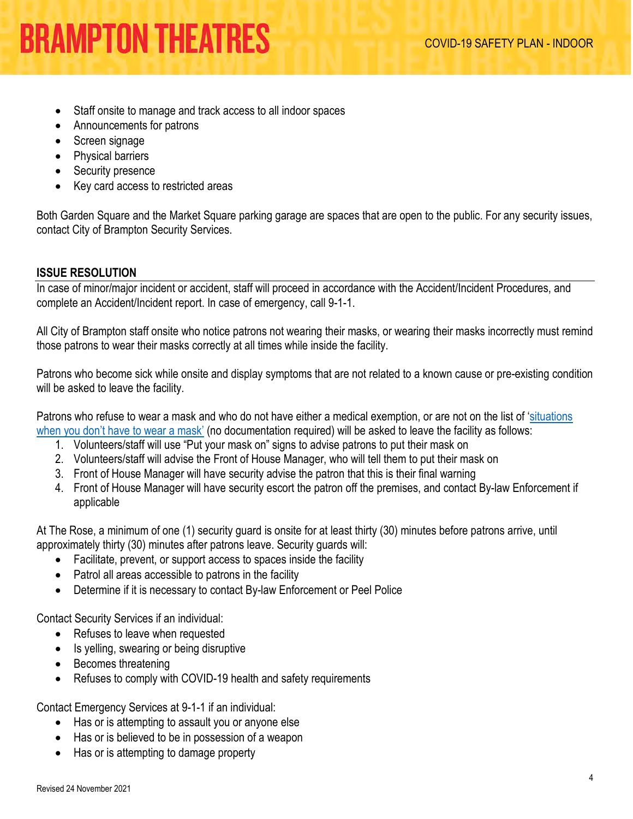- Staff onsite to manage and track access to all indoor spaces
- Announcements for patrons
- Screen signage
- Physical barriers
- Security presence
- Key card access to restricted areas

Both Garden Square and the Market Square parking garage are spaces that are open to the public. For any security issues, contact City of Brampton Security Services.

### <span id="page-3-0"></span>**ISSUE RESOLUTION**

In case of minor/major incident or accident, staff will proceed in accordance with the Accident/Incident Procedures, and complete an Accident/Incident report. In case of emergency, call 9-1-1.

All City of Brampton staff onsite who notice patrons not wearing their masks, or wearing their masks incorrectly must remind those patrons to wear their masks correctly at all times while inside the facility.

Patrons who become sick while onsite and display symptoms that are not related to a known cause or pre-existing condition will be asked to leave the facility.

Patrons who refuse to wear a mask and who do not have either a medical exemption, or are not on the list of 'situations [when you don't have to wear a mask'](https://www.ontario.ca/page/face-coverings-and-face-masks#section-1) (no documentation required) will be asked to leave the facility as follows:

- 1. Volunteers/staff will use "Put your mask on" signs to advise patrons to put their mask on
- 2. Volunteers/staff will advise the Front of House Manager, who will tell them to put their mask on
- 3. Front of House Manager will have security advise the patron that this is their final warning
- 4. Front of House Manager will have security escort the patron off the premises, and contact By-law Enforcement if applicable

At The Rose, a minimum of one (1) security guard is onsite for at least thirty (30) minutes before patrons arrive, until approximately thirty (30) minutes after patrons leave. Security guards will:

- Facilitate, prevent, or support access to spaces inside the facility
- Patrol all areas accessible to patrons in the facility
- Determine if it is necessary to contact By-law Enforcement or Peel Police

Contact Security Services if an individual:

- Refuses to leave when requested
- Is yelling, swearing or being disruptive
- Becomes threatening
- Refuses to comply with COVID-19 health and safety requirements

Contact Emergency Services at 9-1-1 if an individual:

- Has or is attempting to assault you or anyone else
- Has or is believed to be in possession of a weapon
- Has or is attempting to damage property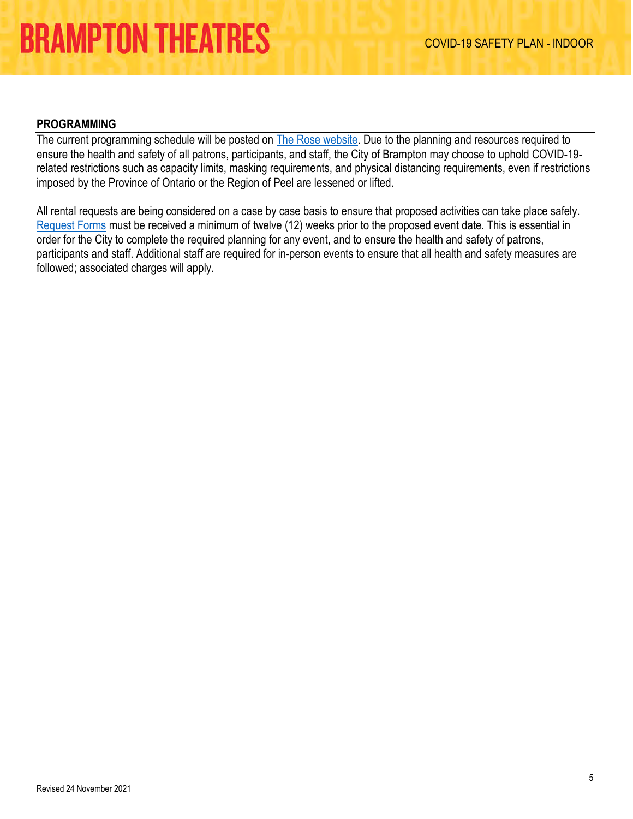#### <span id="page-4-0"></span>**PROGRAMMING**

The current programming schedule will be posted on [The Rose website.](https://tickets.brampton.ca/Online/default.asp) Due to the planning and resources required to ensure the health and safety of all patrons, participants, and staff, the City of Brampton may choose to uphold COVID-19 related restrictions such as capacity limits, masking requirements, and physical distancing requirements, even if restrictions imposed by the Province of Ontario or the Region of Peel are lessened or lifted.

All rental requests are being considered on a case by case basis to ensure that proposed activities can take place safely. [Request Forms](https://tickets.brampton.ca/content/Files/Marketing/1_PA_RentalRequest_Form_FINAL.pdf) must be received a minimum of twelve (12) weeks prior to the proposed event date. This is essential in order for the City to complete the required planning for any event, and to ensure the health and safety of patrons, participants and staff. Additional staff are required for in-person events to ensure that all health and safety measures are followed; associated charges will apply.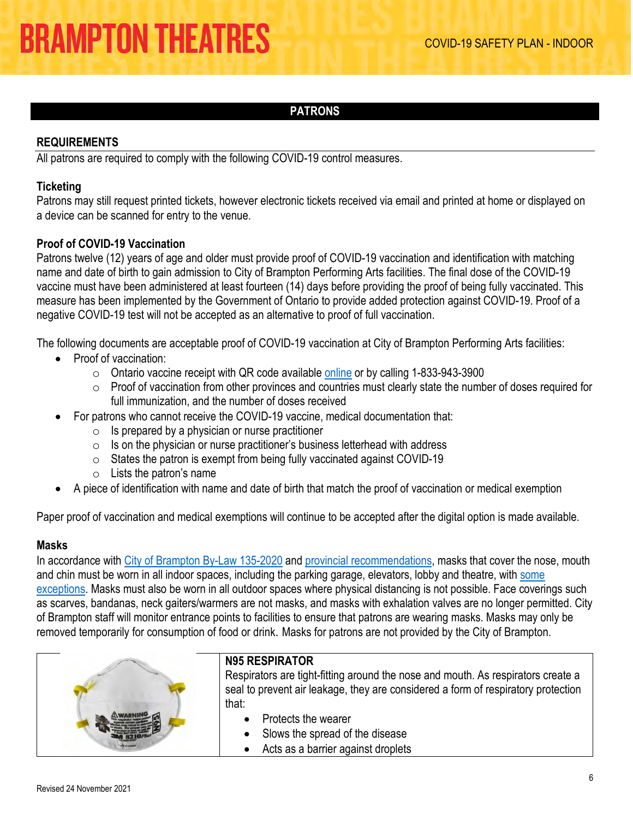### **PATRONS**

#### <span id="page-5-1"></span><span id="page-5-0"></span>**REQUIREMENTS**

All patrons are required to comply with the following COVID-19 control measures.

#### **Ticketing**

Patrons may still request printed tickets, however electronic tickets received via email and printed at home or displayed on a device can be scanned for entry to the venue.

#### **Proof of COVID-19 Vaccination**

Patrons twelve (12) years of age and older must provide proof of COVID-19 vaccination and identification with matching name and date of birth to gain admission to City of Brampton Performing Arts facilities. The final dose of the COVID-19 vaccine must have been administered at least fourteen (14) days before providing the proof of being fully vaccinated. This measure has been implemented by the Government of Ontario to provide added protection against COVID-19. Proof of a negative COVID-19 test will not be accepted as an alternative to proof of full vaccination.

The following documents are acceptable proof of COVID-19 vaccination at City of Brampton Performing Arts facilities:

- Proof of vaccination:
	- $\circ$  Ontario vaccine receipt with QR code available [online](https://covid19.ontariohealth.ca/) or by calling 1-833-943-3900
	- $\circ$  Proof of vaccination from other provinces and countries must clearly state the number of doses required for full immunization, and the number of doses received
- For patrons who cannot receive the COVID-19 vaccine, medical documentation that:
	- $\circ$  Is prepared by a physician or nurse practitioner
	- $\circ$  Is on the physician or nurse practitioner's business letterhead with address
	- $\circ$  States the patron is exempt from being fully vaccinated against COVID-19
	- $\circ$  Lists the patron's name
- A piece of identification with name and date of birth that match the proof of vaccination or medical exemption

Paper proof of vaccination and medical exemptions will continue to be accepted after the digital option is made available.

#### **Masks**

In accordance with [City of Brampton By-Law 135-2020](https://www.brampton.ca/EN/City-Hall/Bylaws/All%20Bylaws/Mandatory%20Face%20Coverings.pdf) and [provincial recommendations,](https://www.ontario.ca/page/face-coverings-and-face-masks#section-0) masks that cover the nose, mouth and chin must be worn in all indoor spaces, including the parking garage, elevators, lobby and theatre, with some [exceptions.](https://www.ontario.ca/page/face-coverings-and-face-masks#section-1) Masks must also be worn in all outdoor spaces where physical distancing is not possible. Face coverings such as scarves, bandanas, neck gaiters/warmers are not masks, and masks with exhalation valves are no longer permitted. City of Brampton staff will monitor entrance points to facilities to ensure that patrons are wearing masks. Masks may only be removed temporarily for consumption of food or drink. Masks for patrons are not provided by the City of Brampton.



### **N95 RESPIRATOR**

Respirators are tight-fitting around the nose and mouth. As respirators create a seal to prevent air leakage, they are considered a form of respiratory protection that:

- Protects the wearer
- Slows the spread of the disease
- Acts as a barrier against droplets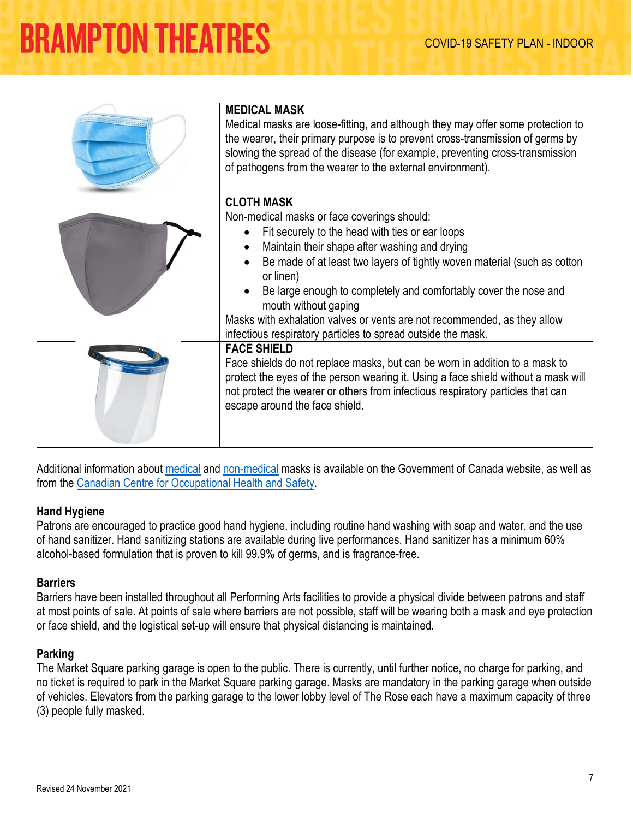| <b>MEDICAL MASK</b><br>Medical masks are loose-fitting, and although they may offer some protection to<br>the wearer, their primary purpose is to prevent cross-transmission of germs by<br>slowing the spread of the disease (for example, preventing cross-transmission<br>of pathogens from the wearer to the external environment).                                                                                                                                                               |
|-------------------------------------------------------------------------------------------------------------------------------------------------------------------------------------------------------------------------------------------------------------------------------------------------------------------------------------------------------------------------------------------------------------------------------------------------------------------------------------------------------|
| <b>CLOTH MASK</b><br>Non-medical masks or face coverings should:<br>Fit securely to the head with ties or ear loops<br>Maintain their shape after washing and drying<br>Be made of at least two layers of tightly woven material (such as cotton<br>or linen)<br>Be large enough to completely and comfortably cover the nose and<br>mouth without gaping<br>Masks with exhalation valves or vents are not recommended, as they allow<br>infectious respiratory particles to spread outside the mask. |
| <b>FACE SHIELD</b><br>Face shields do not replace masks, but can be worn in addition to a mask to<br>protect the eyes of the person wearing it. Using a face shield without a mask will<br>not protect the wearer or others from infectious respiratory particles that can<br>escape around the face shield.                                                                                                                                                                                          |

Additional information about [medical](https://www.canada.ca/en/health-canada/services/drugs-health-products/covid19-industry/medical-devices/personal-protective-equipment/medical-masks-respirators/overview.html) and [non-medical](https://www.canada.ca/en/public-health/services/diseases/2019-novel-coronavirus-infection/prevention-risks/about-non-medical-masks-face-coverings.html) masks is available on the Government of Canada website, as well as from the [Canadian Centre for Occupational Health and Safety.](https://www.ccohs.ca/covid19/facts-on-masks/)

#### **Hand Hygiene**

Patrons are encouraged to practice good hand hygiene, including routine hand washing with soap and water, and the use of hand sanitizer. Hand sanitizing stations are available during live performances. Hand sanitizer has a minimum 60% alcohol-based formulation that is proven to kill 99.9% of germs, and is fragrance-free.

#### **Barriers**

Barriers have been installed throughout all Performing Arts facilities to provide a physical divide between patrons and staff at most points of sale. At points of sale where barriers are not possible, staff will be wearing both a mask and eye protection or face shield, and the logistical set-up will ensure that physical distancing is maintained.

#### **Parking**

The Market Square parking garage is open to the public. There is currently, until further notice, no charge for parking, and no ticket is required to park in the Market Square parking garage. Masks are mandatory in the parking garage when outside of vehicles. Elevators from the parking garage to the lower lobby level of The Rose each have a maximum capacity of three (3) people fully masked.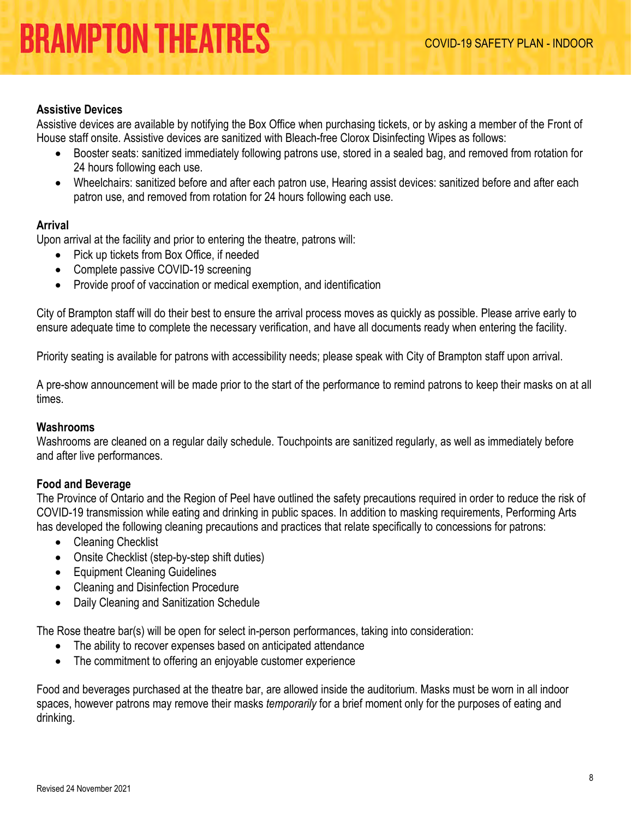#### **Assistive Devices**

Assistive devices are available by notifying the Box Office when purchasing tickets, or by asking a member of the Front of House staff onsite. Assistive devices are sanitized with Bleach-free Clorox Disinfecting Wipes as follows:

- Booster seats: sanitized immediately following patrons use, stored in a sealed bag, and removed from rotation for 24 hours following each use.
- Wheelchairs: sanitized before and after each patron use, Hearing assist devices: sanitized before and after each patron use, and removed from rotation for 24 hours following each use.

#### **Arrival**

Upon arrival at the facility and prior to entering the theatre, patrons will:

- Pick up tickets from Box Office, if needed
- Complete passive COVID-19 screening
- Provide proof of vaccination or medical exemption, and identification

City of Brampton staff will do their best to ensure the arrival process moves as quickly as possible. Please arrive early to ensure adequate time to complete the necessary verification, and have all documents ready when entering the facility.

Priority seating is available for patrons with accessibility needs; please speak with City of Brampton staff upon arrival.

A pre-show announcement will be made prior to the start of the performance to remind patrons to keep their masks on at all times.

#### **Washrooms**

Washrooms are cleaned on a regular daily schedule. Touchpoints are sanitized regularly, as well as immediately before and after live performances.

#### **Food and Beverage**

The Province of Ontario and the Region of Peel have outlined the safety precautions required in order to reduce the risk of COVID-19 transmission while eating and drinking in public spaces. In addition to masking requirements, Performing Arts has developed the following cleaning precautions and practices that relate specifically to concessions for patrons:

- Cleaning Checklist
- Onsite Checklist (step-by-step shift duties)
- Equipment Cleaning Guidelines
- Cleaning and Disinfection Procedure
- Daily Cleaning and Sanitization Schedule

The Rose theatre bar(s) will be open for select in-person performances, taking into consideration:

- The ability to recover expenses based on anticipated attendance
- The commitment to offering an enjoyable customer experience

Food and beverages purchased at the theatre bar, are allowed inside the auditorium. Masks must be worn in all indoor spaces, however patrons may remove their masks *temporarily* for a brief moment only for the purposes of eating and drinking.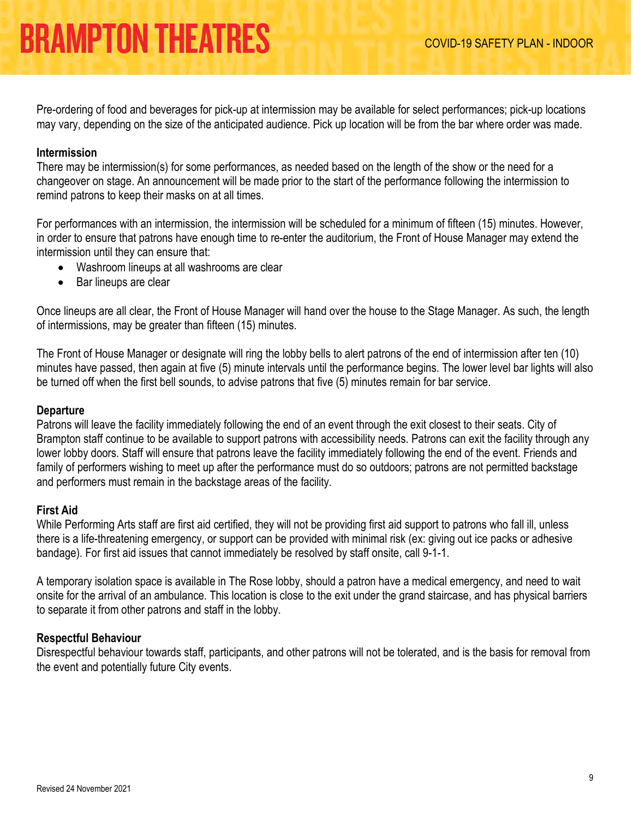Pre-ordering of food and beverages for pick-up at intermission may be available for select performances; pick-up locations may vary, depending on the size of the anticipated audience. Pick up location will be from the bar where order was made.

#### **Intermission**

There may be intermission(s) for some performances, as needed based on the length of the show or the need for a changeover on stage. An announcement will be made prior to the start of the performance following the intermission to remind patrons to keep their masks on at all times.

For performances with an intermission, the intermission will be scheduled for a minimum of fifteen (15) minutes. However, in order to ensure that patrons have enough time to re-enter the auditorium, the Front of House Manager may extend the intermission until they can ensure that:

- Washroom lineups at all washrooms are clear
- Bar lineups are clear

Once lineups are all clear, the Front of House Manager will hand over the house to the Stage Manager. As such, the length of intermissions, may be greater than fifteen (15) minutes.

The Front of House Manager or designate will ring the lobby bells to alert patrons of the end of intermission after ten (10) minutes have passed, then again at five (5) minute intervals until the performance begins. The lower level bar lights will also be turned off when the first bell sounds, to advise patrons that five (5) minutes remain for bar service.

#### **Departure**

Patrons will leave the facility immediately following the end of an event through the exit closest to their seats. City of Brampton staff continue to be available to support patrons with accessibility needs. Patrons can exit the facility through any lower lobby doors. Staff will ensure that patrons leave the facility immediately following the end of the event. Friends and family of performers wishing to meet up after the performance must do so outdoors; patrons are not permitted backstage and performers must remain in the backstage areas of the facility.

#### **First Aid**

While Performing Arts staff are first aid certified, they will not be providing first aid support to patrons who fall ill, unless there is a life-threatening emergency, or support can be provided with minimal risk (ex: giving out ice packs or adhesive bandage). For first aid issues that cannot immediately be resolved by staff onsite, call 9-1-1.

A temporary isolation space is available in The Rose lobby, should a patron have a medical emergency, and need to wait onsite for the arrival of an ambulance. This location is close to the exit under the grand staircase, and has physical barriers to separate it from other patrons and staff in the lobby.

#### **Respectful Behaviour**

Disrespectful behaviour towards staff, participants, and other patrons will not be tolerated, and is the basis for removal from the event and potentially future City events.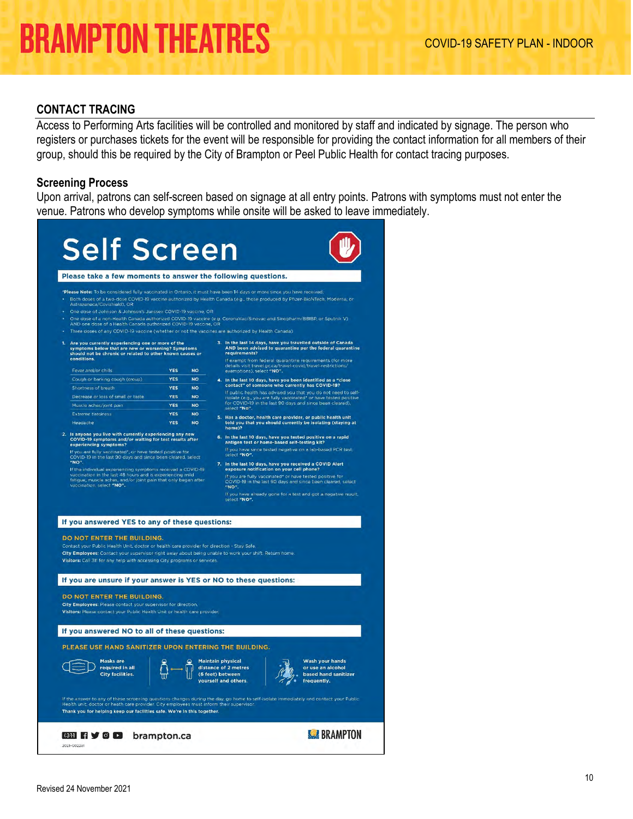#### <span id="page-9-0"></span>**CONTACT TRACING**

Access to Performing Arts facilities will be controlled and monitored by staff and indicated by signage. The person who registers or purchases tickets for the event will be responsible for providing the contact information for all members of their group, should this be required by the City of Brampton or Peel Public Health for contact tracing purposes.

#### **Screening Process**

Upon arrival, patrons can self-screen based on signage at all entry points. Patrons with symptoms must not enter the venue. Patrons who develop symptoms while onsite will be asked to leave immediately.

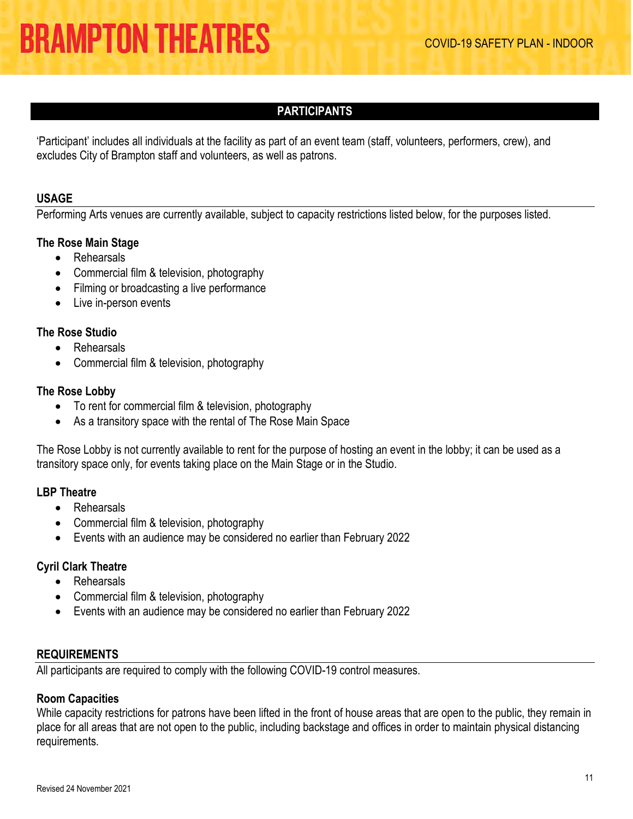### **PARTICIPANTS**

<span id="page-10-2"></span><span id="page-10-0"></span>'Participant' includes all individuals at the facility as part of an event team (staff, volunteers, performers, crew), and excludes City of Brampton staff and volunteers, as well as patrons.

#### **USAGE**

Performing Arts venues are currently available, subject to capacity restrictions listed below, for the purposes listed.

#### **The Rose Main Stage**

- Rehearsals
- Commercial film & television, photography
- Filming or broadcasting a live performance
- Live in-person events

#### **The Rose Studio**

- Rehearsals
- Commercial film & television, photography

#### **The Rose Lobby**

- To rent for commercial film & television, photography
- As a transitory space with the rental of The Rose Main Space

The Rose Lobby is not currently available to rent for the purpose of hosting an event in the lobby; it can be used as a transitory space only, for events taking place on the Main Stage or in the Studio.

#### **LBP Theatre**

- Rehearsals
- Commercial film & television, photography
- Events with an audience may be considered no earlier than February 2022

#### **Cyril Clark Theatre**

- Rehearsals
- Commercial film & television, photography
- Events with an audience may be considered no earlier than February 2022

#### <span id="page-10-1"></span>**REQUIREMENTS**

All participants are required to comply with the following COVID-19 control measures.

#### **Room Capacities**

While capacity restrictions for patrons have been lifted in the front of house areas that are open to the public, they remain in place for all areas that are not open to the public, including backstage and offices in order to maintain physical distancing requirements.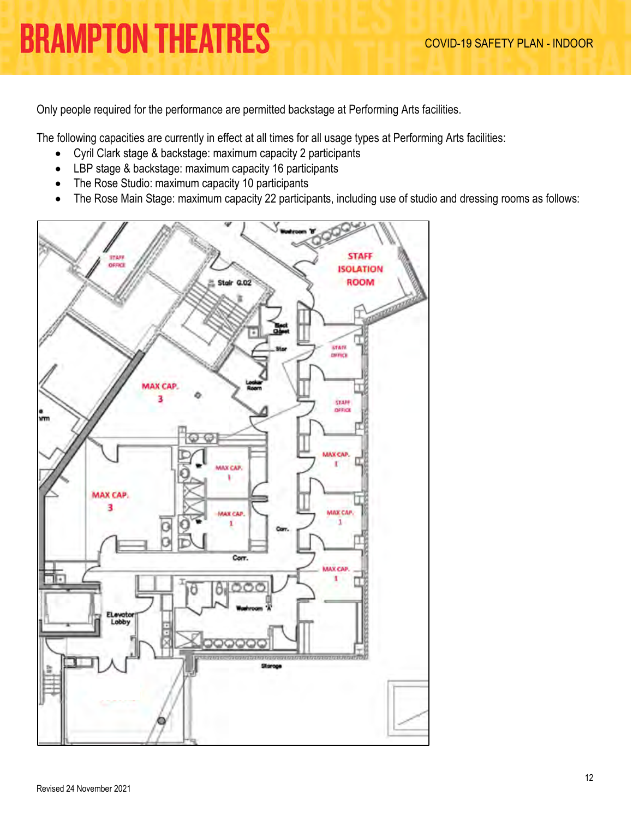Only people required for the performance are permitted backstage at Performing Arts facilities.

The following capacities are currently in effect at all times for all usage types at Performing Arts facilities:

- Cyril Clark stage & backstage: maximum capacity 2 participants
- LBP stage & backstage: maximum capacity 16 participants
- The Rose Studio: maximum capacity 10 participants
- The Rose Main Stage: maximum capacity 22 participants, including use of studio and dressing rooms as follows:

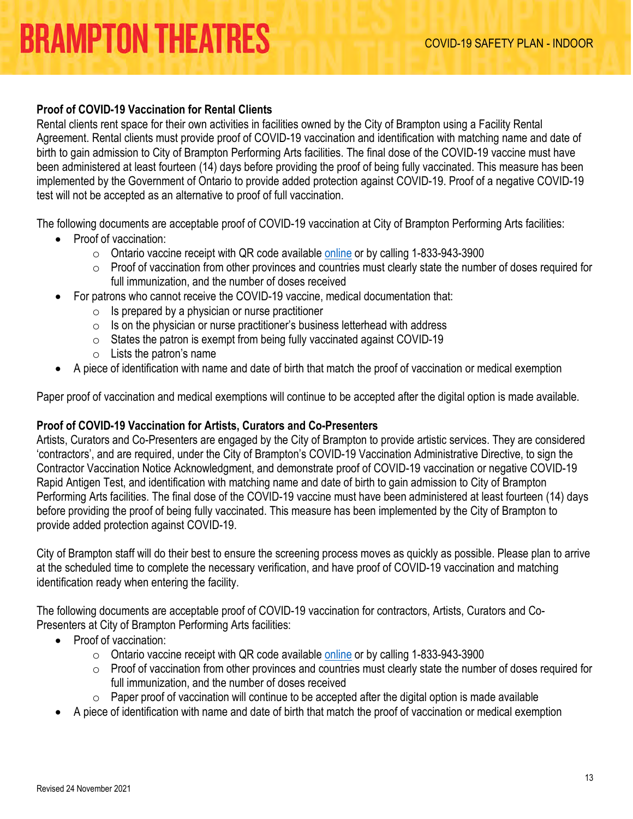### **Proof of COVID-19 Vaccination for Rental Clients**

Rental clients rent space for their own activities in facilities owned by the City of Brampton using a Facility Rental Agreement. Rental clients must provide proof of COVID-19 vaccination and identification with matching name and date of birth to gain admission to City of Brampton Performing Arts facilities. The final dose of the COVID-19 vaccine must have been administered at least fourteen (14) days before providing the proof of being fully vaccinated. This measure has been implemented by the Government of Ontario to provide added protection against COVID-19. Proof of a negative COVID-19 test will not be accepted as an alternative to proof of full vaccination.

The following documents are acceptable proof of COVID-19 vaccination at City of Brampton Performing Arts facilities:

- Proof of vaccination:
	- $\circ$  Ontario vaccine receipt with QR code available [online](https://covid19.ontariohealth.ca/) or by calling 1-833-943-3900
	- $\circ$  Proof of vaccination from other provinces and countries must clearly state the number of doses required for full immunization, and the number of doses received
- For patrons who cannot receive the COVID-19 vaccine, medical documentation that:
	- $\circ$  Is prepared by a physician or nurse practitioner
	- $\circ$  Is on the physician or nurse practitioner's business letterhead with address
	- $\circ$  States the patron is exempt from being fully vaccinated against COVID-19
	- $\circ$  Lists the patron's name
- A piece of identification with name and date of birth that match the proof of vaccination or medical exemption

Paper proof of vaccination and medical exemptions will continue to be accepted after the digital option is made available.

#### **Proof of COVID-19 Vaccination for Artists, Curators and Co-Presenters**

Artists, Curators and Co-Presenters are engaged by the City of Brampton to provide artistic services. They are considered 'contractors', and are required, under the City of Brampton's COVID-19 Vaccination Administrative Directive, to sign the Contractor Vaccination Notice Acknowledgment, and demonstrate proof of COVID-19 vaccination or negative COVID-19 Rapid Antigen Test, and identification with matching name and date of birth to gain admission to City of Brampton Performing Arts facilities. The final dose of the COVID-19 vaccine must have been administered at least fourteen (14) days before providing the proof of being fully vaccinated. This measure has been implemented by the City of Brampton to provide added protection against COVID-19.

City of Brampton staff will do their best to ensure the screening process moves as quickly as possible. Please plan to arrive at the scheduled time to complete the necessary verification, and have proof of COVID-19 vaccination and matching identification ready when entering the facility.

The following documents are acceptable proof of COVID-19 vaccination for contractors, Artists, Curators and Co-Presenters at City of Brampton Performing Arts facilities:

- Proof of vaccination:
	- $\circ$  Ontario vaccine receipt with QR code available [online](https://covid19.ontariohealth.ca/) or by calling 1-833-943-3900
	- $\circ$  Proof of vaccination from other provinces and countries must clearly state the number of doses required for full immunization, and the number of doses received
	- $\circ$  Paper proof of vaccination will continue to be accepted after the digital option is made available
- A piece of identification with name and date of birth that match the proof of vaccination or medical exemption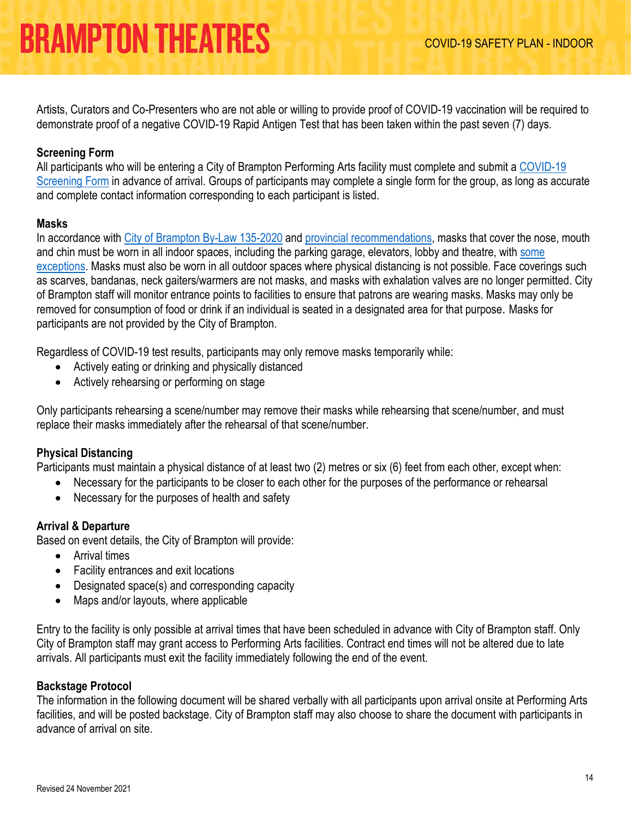Artists, Curators and Co-Presenters who are not able or willing to provide proof of COVID-19 vaccination will be required to demonstrate proof of a negative COVID-19 Rapid Antigen Test that has been taken within the past seven (7) days.

### **Screening Form**

All participants who will be entering a City of Brampton Performing Arts facility must complete and submit a [COVID-19](https://tickets.brampton.ca/content/Files/Marketing/PA_COVID-19_ScreeningForm.pdf)  [Screening Form](https://tickets.brampton.ca/content/Files/Marketing/PA_COVID-19_ScreeningForm.pdf) in advance of arrival. Groups of participants may complete a single form for the group, as long as accurate and complete contact information corresponding to each participant is listed.

#### **Masks**

In accordance with [City of Brampton By-Law 135-2020](https://www.brampton.ca/EN/City-Hall/Bylaws/All%20Bylaws/Mandatory%20Face%20Coverings.pdf) and [provincial recommendations,](https://www.ontario.ca/page/face-coverings-and-face-masks#section-0) masks that cover the nose, mouth and chin must be worn in all indoor spaces, including the parking garage, elevators, lobby and theatre, with [some](https://www.ontario.ca/page/face-coverings-and-face-masks#section-1)  [exceptions.](https://www.ontario.ca/page/face-coverings-and-face-masks#section-1) Masks must also be worn in all outdoor spaces where physical distancing is not possible. Face coverings such as scarves, bandanas, neck gaiters/warmers are not masks, and masks with exhalation valves are no longer permitted. City of Brampton staff will monitor entrance points to facilities to ensure that patrons are wearing masks. Masks may only be removed for consumption of food or drink if an individual is seated in a designated area for that purpose. Masks for participants are not provided by the City of Brampton.

Regardless of COVID-19 test results, participants may only remove masks temporarily while:

- Actively eating or drinking and physically distanced
- Actively rehearsing or performing on stage

Only participants rehearsing a scene/number may remove their masks while rehearsing that scene/number, and must replace their masks immediately after the rehearsal of that scene/number.

#### **Physical Distancing**

Participants must maintain a physical distance of at least two (2) metres or six (6) feet from each other, except when:

- Necessary for the participants to be closer to each other for the purposes of the performance or rehearsal
- Necessary for the purposes of health and safety

#### **Arrival & Departure**

Based on event details, the City of Brampton will provide:

- Arrival times
- Facility entrances and exit locations
- Designated space(s) and corresponding capacity
- Maps and/or layouts, where applicable

Entry to the facility is only possible at arrival times that have been scheduled in advance with City of Brampton staff. Only City of Brampton staff may grant access to Performing Arts facilities. Contract end times will not be altered due to late arrivals. All participants must exit the facility immediately following the end of the event.

#### **Backstage Protocol**

The information in the following document will be shared verbally with all participants upon arrival onsite at Performing Arts facilities, and will be posted backstage. City of Brampton staff may also choose to share the document with participants in advance of arrival on site.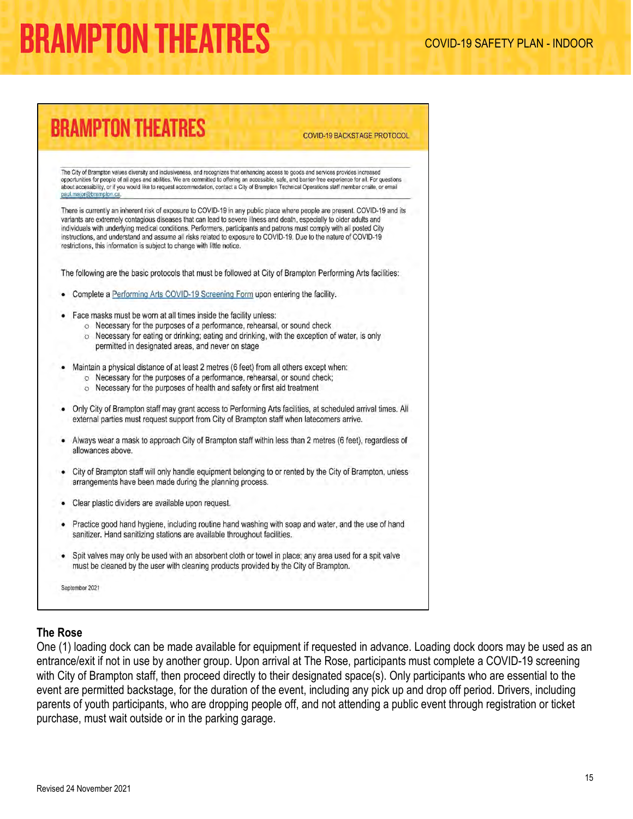# **BRAMPTON THEATRES**

**COVID-19 BACKSTAGE PROTOCOL** 

The City of Brampton values diversity and inclusiveness, and recognizes that enhancing access to goods and services provides increased opportunities for people of all ages and abilities. We are committed to offering an accessible, safe, and barrier-free experience for all. For questions about accessibility, or if you would like to request accommodation, contact a City of Brampton Technical Operations staff member onsite, or email paul.major@bramplon.ca.

There is currently an inherent risk of exposure to COVID-19 in any public place where people are present. COVID-19 and its variants are extremely contagious diseases that can lead to severe illness and death, especially to older adults and individuals with underlying medical conditions. Performers, participants and patrons must comply with all posted City instructions, and understand and assume all risks related to exposure to COVID-19. Due to the nature of COVID-19 restrictions, this information is subject to change with little notice. The following are the basic protocols that must be followed at City of Brampton Performing Arts facilities: Complete a Performing Arts COVID-19 Screening Form upon entering the facility. Face masks must be worn at all times inside the facility unless: o Necessary for the purposes of a performance, rehearsal, or sound check o Necessary for eating or drinking; eating and drinking, with the exception of water, is only permitted in designated areas, and never on stage Maintain a physical distance of at least 2 metres (6 feet) from all others except when: O Necessary for the purposes of a performance, rehearsal, or sound check; o Necessary for the purposes of health and safety or first aid treatment Only City of Brampton staff may grant access to Performing Arts facilities, at scheduled arrival times. All external parties must request support from City of Brampton staff when latecomers arrive. Always wear a mask to approach City of Brampton staff within less than 2 metres (6 feet), regardless of allowances above. City of Brampton staff will only handle equipment belonging to or rented by the City of Brampton, unless arrangements have been made during the planning process. Clear plastic dividers are available upon request. Practice good hand hygiene, including routine hand washing with soap and water, and the use of hand sanitizer. Hand sanitizing stations are available throughout facilities.

• Spit valves may only be used with an absorbent cloth or towel in place; any area used for a spit valve must be cleaned by the user with cleaning products provided by the City of Brampton.

September 2021

#### **The Rose**

One (1) loading dock can be made available for equipment if requested in advance. Loading dock doors may be used as an entrance/exit if not in use by another group. Upon arrival at The Rose, participants must complete a COVID-19 screening with City of Brampton staff, then proceed directly to their designated space(s). Only participants who are essential to the event are permitted backstage, for the duration of the event, including any pick up and drop off period. Drivers, including parents of youth participants, who are dropping people off, and not attending a public event through registration or ticket purchase, must wait outside or in the parking garage.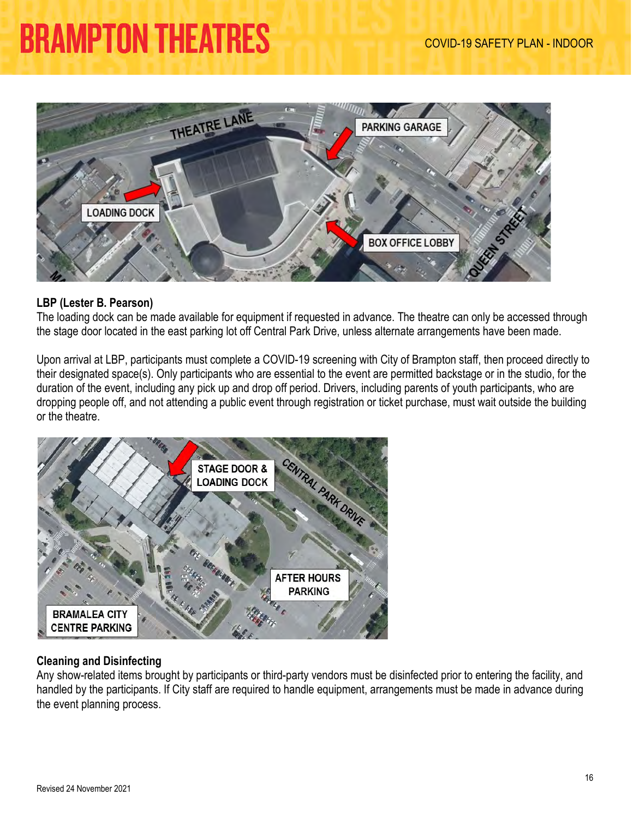

#### **LBP (Lester B. Pearson)**

The loading dock can be made available for equipment if requested in advance. The theatre can only be accessed through the stage door located in the east parking lot off Central Park Drive, unless alternate arrangements have been made.

Upon arrival at LBP, participants must complete a COVID-19 screening with City of Brampton staff, then proceed directly to their designated space(s). Only participants who are essential to the event are permitted backstage or in the studio, for the duration of the event, including any pick up and drop off period. Drivers, including parents of youth participants, who are dropping people off, and not attending a public event through registration or ticket purchase, must wait outside the building or the theatre.



### **Cleaning and Disinfecting**

Any show-related items brought by participants or third-party vendors must be disinfected prior to entering the facility, and handled by the participants. If City staff are required to handle equipment, arrangements must be made in advance during the event planning process.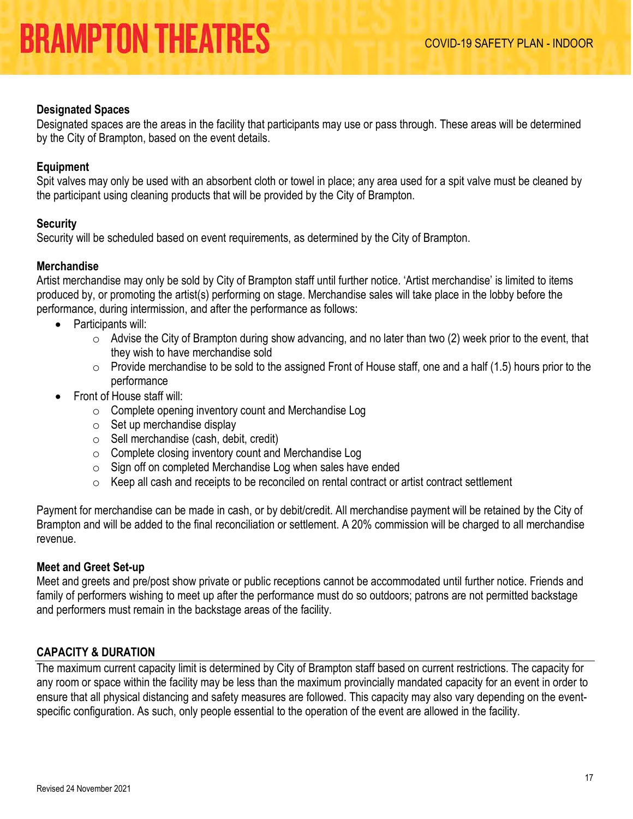#### **Designated Spaces**

Designated spaces are the areas in the facility that participants may use or pass through. These areas will be determined by the City of Brampton, based on the event details.

#### **Equipment**

Spit valves may only be used with an absorbent cloth or towel in place; any area used for a spit valve must be cleaned by the participant using cleaning products that will be provided by the City of Brampton.

#### **Security**

Security will be scheduled based on event requirements, as determined by the City of Brampton.

#### **Merchandise**

Artist merchandise may only be sold by City of Brampton staff until further notice. 'Artist merchandise' is limited to items produced by, or promoting the artist(s) performing on stage. Merchandise sales will take place in the lobby before the performance, during intermission, and after the performance as follows:

- Participants will:
	- $\circ$  Advise the City of Brampton during show advancing, and no later than two (2) week prior to the event, that they wish to have merchandise sold
	- $\circ$  Provide merchandise to be sold to the assigned Front of House staff, one and a half (1.5) hours prior to the performance
- Front of House staff will:
	- $\circ$  Complete opening inventory count and Merchandise Log
	- $\circ$  Set up merchandise display
	- o Sell merchandise (cash, debit, credit)
	- $\circ$  Complete closing inventory count and Merchandise Log
	- $\circ$  Sign off on completed Merchandise Log when sales have ended
	- $\circ$  Keep all cash and receipts to be reconciled on rental contract or artist contract settlement

Payment for merchandise can be made in cash, or by debit/credit. All merchandise payment will be retained by the City of Brampton and will be added to the final reconciliation or settlement. A 20% commission will be charged to all merchandise revenue.

#### **Meet and Greet Set-up**

Meet and greets and pre/post show private or public receptions cannot be accommodated until further notice. Friends and family of performers wishing to meet up after the performance must do so outdoors; patrons are not permitted backstage and performers must remain in the backstage areas of the facility.

### <span id="page-16-0"></span>**CAPACITY & DURATION**

The maximum current capacity limit is determined by City of Brampton staff based on current restrictions. The capacity for any room or space within the facility may be less than the maximum provincially mandated capacity for an event in order to ensure that all physical distancing and safety measures are followed. This capacity may also vary depending on the eventspecific configuration. As such, only people essential to the operation of the event are allowed in the facility.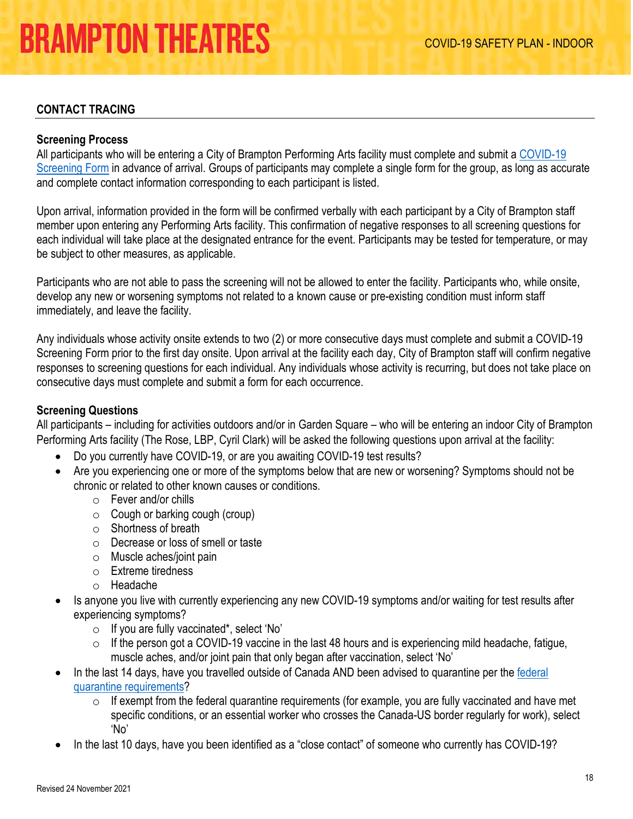### <span id="page-17-0"></span>**CONTACT TRACING**

#### **Screening Process**

All participants who will be entering a City of Brampton Performing Arts facility must complete and submit a [COVID-19](https://tickets.brampton.ca/content/Files/Marketing/PA_COVID-19_ScreeningForm.pdf)  [Screening Form](https://tickets.brampton.ca/content/Files/Marketing/PA_COVID-19_ScreeningForm.pdf) in advance of arrival. Groups of participants may complete a single form for the group, as long as accurate and complete contact information corresponding to each participant is listed.

Upon arrival, information provided in the form will be confirmed verbally with each participant by a City of Brampton staff member upon entering any Performing Arts facility. This confirmation of negative responses to all screening questions for each individual will take place at the designated entrance for the event. Participants may be tested for temperature, or may be subject to other measures, as applicable.

Participants who are not able to pass the screening will not be allowed to enter the facility. Participants who, while onsite, develop any new or worsening symptoms not related to a known cause or pre-existing condition must inform staff immediately, and leave the facility.

Any individuals whose activity onsite extends to two (2) or more consecutive days must complete and submit a COVID-19 Screening Form prior to the first day onsite. Upon arrival at the facility each day, City of Brampton staff will confirm negative responses to screening questions for each individual. Any individuals whose activity is recurring, but does not take place on consecutive days must complete and submit a form for each occurrence.

#### **Screening Questions**

All participants – including for activities outdoors and/or in Garden Square – who will be entering an indoor City of Brampton Performing Arts facility (The Rose, LBP, Cyril Clark) will be asked the following questions upon arrival at the facility:

- Do you currently have COVID-19, or are you awaiting COVID-19 test results?
- Are you experiencing one or more of the symptoms below that are new or worsening? Symptoms should not be chronic or related to other known causes or conditions.
	- o Fever and/or chills
	- $\circ$  Cough or barking cough (croup)
	- $\circ$  Shortness of breath
	- o Decrease or loss of smell or taste
	- o Muscle aches/joint pain
	- o Extreme tiredness
	- o Headache
- Is anyone you live with currently experiencing any new COVID-19 symptoms and/or waiting for test results after experiencing symptoms?
	- o If you are fully vaccinated\*, select 'No'
	- $\circ$  If the person got a COVID-19 vaccine in the last 48 hours and is experiencing mild headache, fatigue, muscle aches, and/or joint pain that only began after vaccination, select 'No'
- In the last 14 days, have you travelled outside of Canada AND been advised to quarantine per the federal [quarantine requirements?](https://travel.gc.ca/travel-covid/travel-restrictions/exemptions)
	- $\circ$  If exempt from the federal quarantine requirements (for example, you are fully vaccinated and have met specific conditions, or an essential worker who crosses the Canada-US border regularly for work), select 'No'
- In the last 10 days, have you been identified as a "close contact" of someone who currently has COVID-19?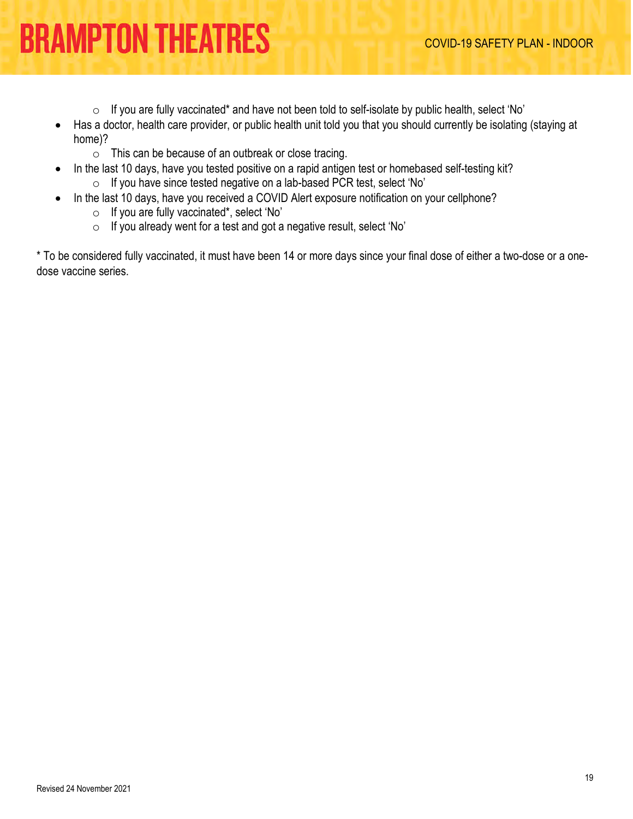- $\circ$  If you are fully vaccinated\* and have not been told to self-isolate by public health, select 'No'
- Has a doctor, health care provider, or public health unit told you that you should currently be isolating (staying at home)?
	- o This can be because of an outbreak or close tracing.
- In the last 10 days, have you tested positive on a rapid antigen test or homebased self-testing kit? o If you have since tested negative on a lab-based PCR test, select 'No'
- In the last 10 days, have you received a COVID Alert exposure notification on your cellphone?
	- o If you are fully vaccinated\*, select 'No'
	- o If you already went for a test and got a negative result, select 'No'

\* To be considered fully vaccinated, it must have been 14 or more days since your final dose of either a two-dose or a onedose vaccine series.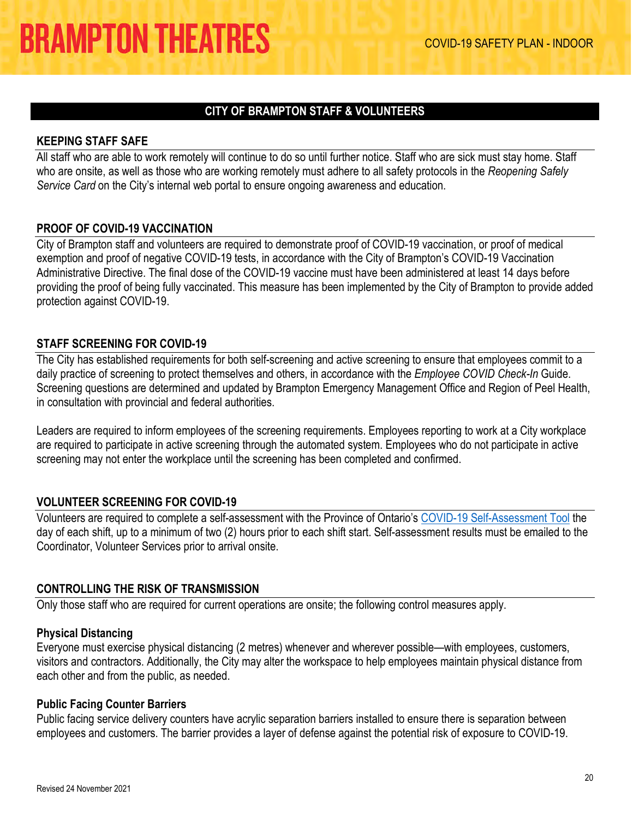### **CITY OF BRAMPTON STAFF & VOLUNTEERS**

#### <span id="page-19-1"></span><span id="page-19-0"></span>**KEEPING STAFF SAFE**

All staff who are able to work remotely will continue to do so until further notice. Staff who are sick must stay home. Staff who are onsite, as well as those who are working remotely must adhere to all safety protocols in the *Reopening Safely Service Card* on the City's internal web portal to ensure ongoing awareness and education.

#### <span id="page-19-2"></span>**PROOF OF COVID-19 VACCINATION**

City of Brampton staff and volunteers are required to demonstrate proof of COVID-19 vaccination, or proof of medical exemption and proof of negative COVID-19 tests, in accordance with the City of Brampton's COVID-19 Vaccination Administrative Directive. The final dose of the COVID-19 vaccine must have been administered at least 14 days before providing the proof of being fully vaccinated. This measure has been implemented by the City of Brampton to provide added protection against COVID-19.

#### <span id="page-19-3"></span>**STAFF SCREENING FOR COVID-19**

The City has established requirements for both self-screening and active screening to ensure that employees commit to a daily practice of screening to protect themselves and others, in accordance with the *Employee COVID Check-In* Guide. Screening questions are determined and updated by Brampton Emergency Management Office and Region of Peel Health, in consultation with provincial and federal authorities.

Leaders are required to inform employees of the screening requirements. Employees reporting to work at a City workplace are required to participate in active screening through the automated system. Employees who do not participate in active screening may not enter the workplace until the screening has been completed and confirmed.

#### <span id="page-19-4"></span>**VOLUNTEER SCREENING FOR COVID-19**

Volunteers are required to complete a self-assessment with the Province of Ontario's [COVID-19 Self-Assessment Tool](https://covid-19.ontario.ca/screening/worker/) the day of each shift, up to a minimum of two (2) hours prior to each shift start. Self-assessment results must be emailed to the Coordinator, Volunteer Services prior to arrival onsite.

#### <span id="page-19-5"></span>**CONTROLLING THE RISK OF TRANSMISSION**

Only those staff who are required for current operations are onsite; the following control measures apply.

#### **Physical Distancing**

Everyone must exercise physical distancing (2 metres) whenever and wherever possible—with employees, customers, visitors and contractors. Additionally, the City may alter the workspace to help employees maintain physical distance from each other and from the public, as needed.

#### **Public Facing Counter Barriers**

Public facing service delivery counters have acrylic separation barriers installed to ensure there is separation between employees and customers. The barrier provides a layer of defense against the potential risk of exposure to COVID-19.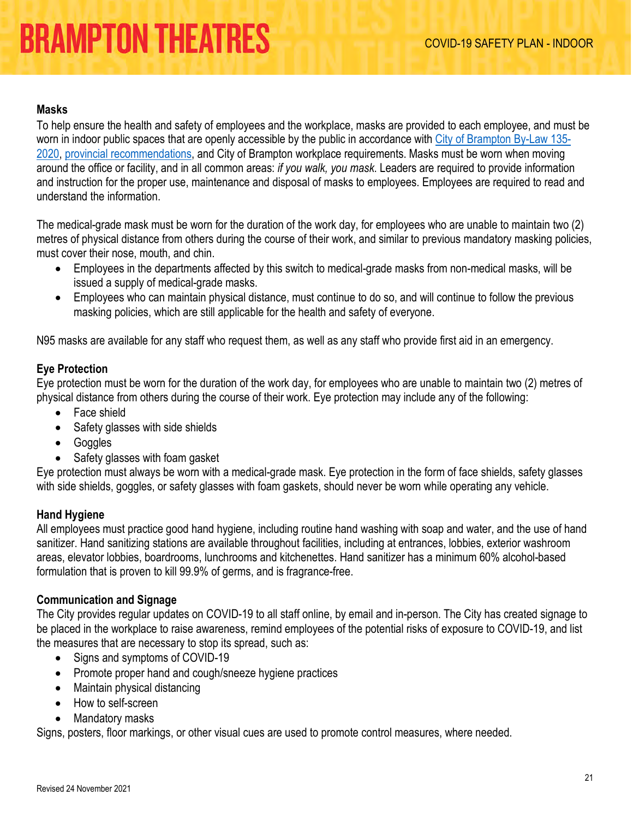#### **Masks**

To help ensure the health and safety of employees and the workplace, masks are provided to each employee, and must be worn in indoor public spaces that are openly accessible by the public in accordance with [City of Brampton By-Law 135-](https://www.brampton.ca/EN/City-Hall/Bylaws/All%20Bylaws/Mandatory%20Face%20Coverings.pdf) [2020,](https://www.brampton.ca/EN/City-Hall/Bylaws/All%20Bylaws/Mandatory%20Face%20Coverings.pdf) [provincial recommendations,](https://www.ontario.ca/page/face-coverings-and-face-masks#section-0) and City of Brampton workplace requirements. Masks must be worn when moving around the office or facility, and in all common areas: *if you walk, you mask*. Leaders are required to provide information and instruction for the proper use, maintenance and disposal of masks to employees. Employees are required to read and understand the information.

The medical-grade mask must be worn for the duration of the work day, for employees who are unable to maintain two (2) metres of physical distance from others during the course of their work, and similar to previous mandatory masking policies, must cover their nose, mouth, and chin.

- Employees in the departments affected by this switch to medical-grade masks from non-medical masks, will be issued a supply of medical-grade masks.
- Employees who can maintain physical distance, must continue to do so, and will continue to follow the previous masking policies, which are still applicable for the health and safety of everyone.

N95 masks are available for any staff who request them, as well as any staff who provide first aid in an emergency.

### **Eye Protection**

Eye protection must be worn for the duration of the work day, for employees who are unable to maintain two (2) metres of physical distance from others during the course of their work. Eye protection may include any of the following:

- Face shield
- Safety glasses with side shields
- Goggles
- Safety glasses with foam gasket

Eye protection must always be worn with a medical-grade mask. Eye protection in the form of face shields, safety glasses with side shields, goggles, or safety glasses with foam gaskets, should never be worn while operating any vehicle.

#### **Hand Hygiene**

All employees must practice good hand hygiene, including routine hand washing with soap and water, and the use of hand sanitizer. Hand sanitizing stations are available throughout facilities, including at entrances, lobbies, exterior washroom areas, elevator lobbies, boardrooms, lunchrooms and kitchenettes. Hand sanitizer has a minimum 60% alcohol-based formulation that is proven to kill 99.9% of germs, and is fragrance-free.

#### **Communication and Signage**

The City provides regular updates on COVID-19 to all staff online, by email and in-person. The City has created signage to be placed in the workplace to raise awareness, remind employees of the potential risks of exposure to COVID-19, and list the measures that are necessary to stop its spread, such as:

- Signs and symptoms of COVID-19
- Promote proper hand and cough/sneeze hygiene practices
- Maintain physical distancing
- How to self-screen
- Mandatory masks

Signs, posters, floor markings, or other visual cues are used to promote control measures, where needed.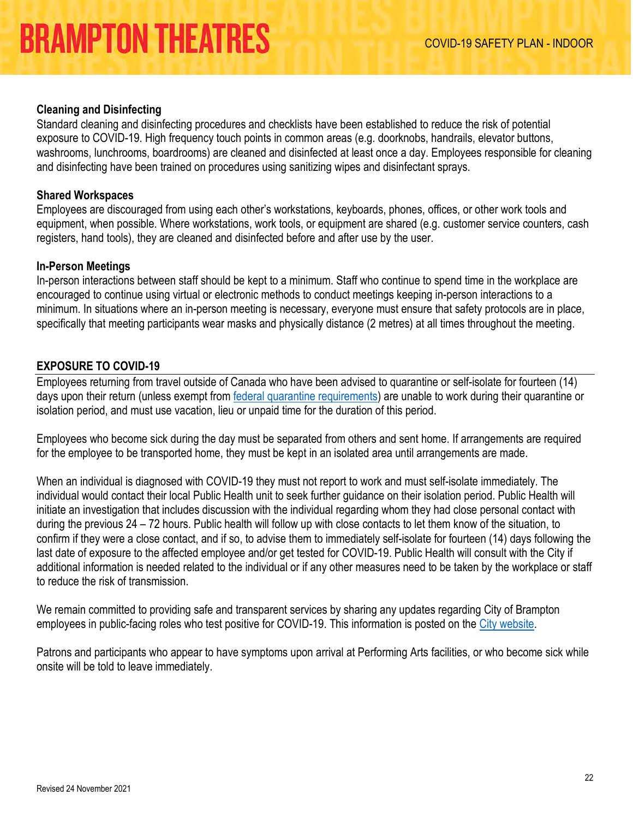### **Cleaning and Disinfecting**

Standard cleaning and disinfecting procedures and checklists have been established to reduce the risk of potential exposure to COVID-19. High frequency touch points in common areas (e.g. doorknobs, handrails, elevator buttons, washrooms, lunchrooms, boardrooms) are cleaned and disinfected at least once a day. Employees responsible for cleaning and disinfecting have been trained on procedures using sanitizing wipes and disinfectant sprays.

### **Shared Workspaces**

Employees are discouraged from using each other's workstations, keyboards, phones, offices, or other work tools and equipment, when possible. Where workstations, work tools, or equipment are shared (e.g. customer service counters, cash registers, hand tools), they are cleaned and disinfected before and after use by the user.

#### **In-Person Meetings**

In-person interactions between staff should be kept to a minimum. Staff who continue to spend time in the workplace are encouraged to continue using virtual or electronic methods to conduct meetings keeping in-person interactions to a minimum. In situations where an in-person meeting is necessary, everyone must ensure that safety protocols are in place, specifically that meeting participants wear masks and physically distance (2 metres) at all times throughout the meeting.

### <span id="page-21-0"></span>**EXPOSURE TO COVID-19**

Employees returning from travel outside of Canada who have been advised to quarantine or self-isolate for fourteen (14) days upon their return (unless exempt from **federal quarantine requirements**) are unable to work during their quarantine or isolation period, and must use vacation, lieu or unpaid time for the duration of this period.

Employees who become sick during the day must be separated from others and sent home. If arrangements are required for the employee to be transported home, they must be kept in an isolated area until arrangements are made.

When an individual is diagnosed with COVID-19 they must not report to work and must self-isolate immediately. The individual would contact their local Public Health unit to seek further guidance on their isolation period. Public Health will initiate an investigation that includes discussion with the individual regarding whom they had close personal contact with during the previous 24 – 72 hours. Public health will follow up with close contacts to let them know of the situation, to confirm if they were a close contact, and if so, to advise them to immediately self-isolate for fourteen (14) days following the last date of exposure to the affected employee and/or get tested for COVID-19. Public Health will consult with the City if additional information is needed related to the individual or if any other measures need to be taken by the workplace or staff to reduce the risk of transmission.

We remain committed to providing safe and transparent services by sharing any updates regarding City of Brampton employees in public-facing roles who test positive for COVID-19. This information is posted on the [City website.](https://letsconnect.brampton.ca/case-update)

Patrons and participants who appear to have symptoms upon arrival at Performing Arts facilities, or who become sick while onsite will be told to leave immediately.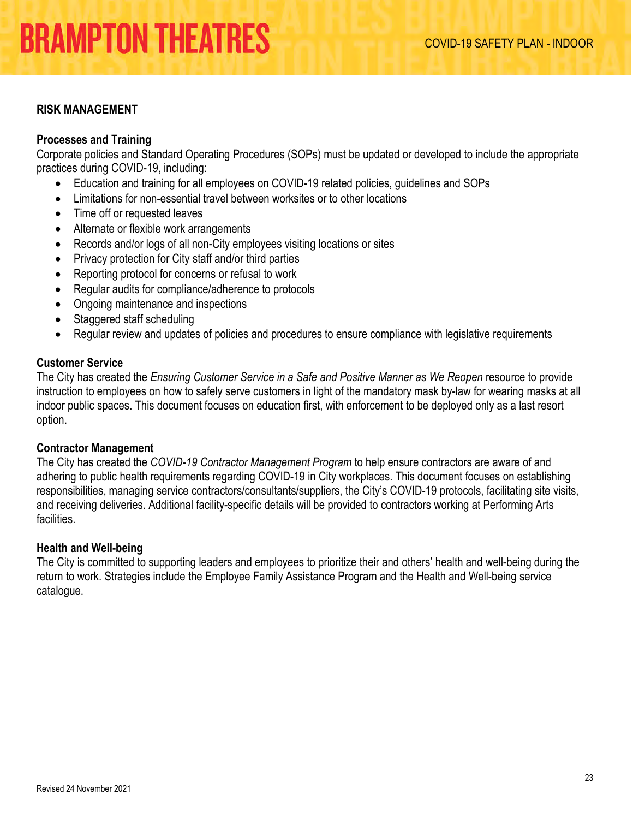#### <span id="page-22-0"></span>**RISK MANAGEMENT**

#### **Processes and Training**

Corporate policies and Standard Operating Procedures (SOPs) must be updated or developed to include the appropriate practices during COVID-19, including:

- Education and training for all employees on COVID-19 related policies, guidelines and SOPs
- Limitations for non-essential travel between worksites or to other locations
- Time off or requested leaves
- Alternate or flexible work arrangements
- Records and/or logs of all non-City employees visiting locations or sites
- Privacy protection for City staff and/or third parties
- Reporting protocol for concerns or refusal to work
- Regular audits for compliance/adherence to protocols
- Ongoing maintenance and inspections
- Staggered staff scheduling
- Regular review and updates of policies and procedures to ensure compliance with legislative requirements

#### **Customer Service**

The City has created the *Ensuring Customer Service in a Safe and Positive Manner as We Reopen* resource to provide instruction to employees on how to safely serve customers in light of the mandatory mask by-law for wearing masks at all indoor public spaces. This document focuses on education first, with enforcement to be deployed only as a last resort option.

#### **Contractor Management**

The City has created the *COVID-19 Contractor Management Program* to help ensure contractors are aware of and adhering to public health requirements regarding COVID-19 in City workplaces. This document focuses on establishing responsibilities, managing service contractors/consultants/suppliers, the City's COVID-19 protocols, facilitating site visits, and receiving deliveries. Additional facility-specific details will be provided to contractors working at Performing Arts facilities.

#### **Health and Well-being**

<span id="page-22-1"></span>The City is committed to supporting leaders and employees to prioritize their and others' health and well-being during the return to work. Strategies include the Employee Family Assistance Program and the Health and Well-being service catalogue.